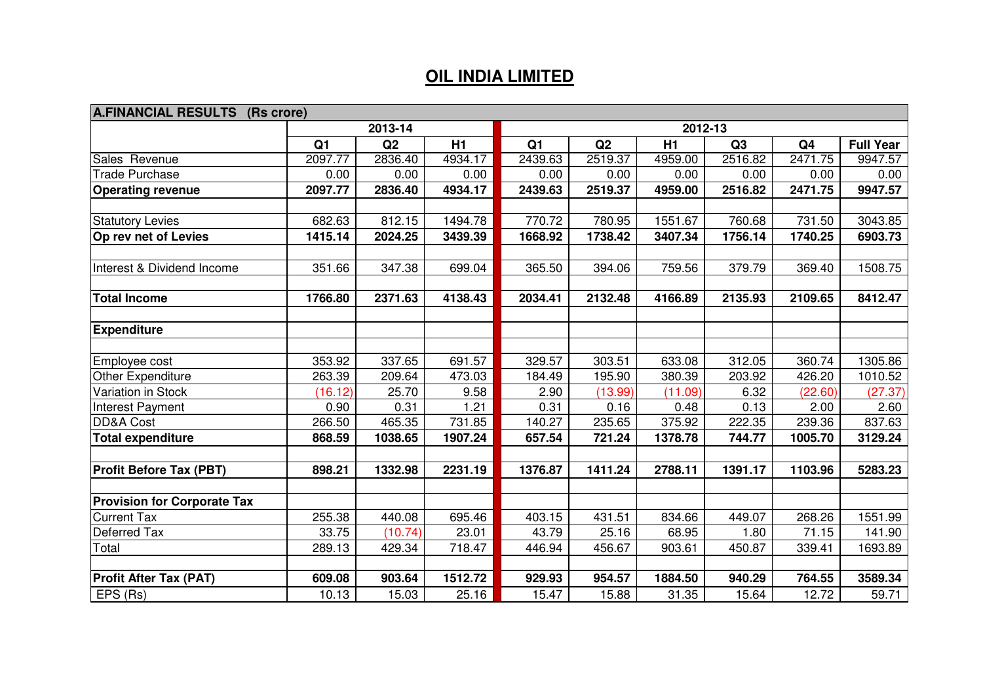## **OIL INDIA LIMITED**

| A.FINANCIAL RESULTS (Rs crore)     |                |         |         |                |         |         |         |                |                  |
|------------------------------------|----------------|---------|---------|----------------|---------|---------|---------|----------------|------------------|
|                                    |                | 2013-14 |         | 2012-13        |         |         |         |                |                  |
|                                    | Q <sub>1</sub> | Q2      | H1      | Q <sub>1</sub> | Q2      | H1      | Q3      | Q <sub>4</sub> | <b>Full Year</b> |
| Sales Revenue                      | 2097.77        | 2836.40 | 4934.17 | 2439.63        | 2519.37 | 4959.00 | 2516.82 | 2471.75        | 9947.57          |
| <b>Trade Purchase</b>              | 0.00           | 0.00    | 0.00    | 0.00           | 0.00    | 0.00    | 0.00    | 0.00           | 0.00             |
| <b>Operating revenue</b>           | 2097.77        | 2836.40 | 4934.17 | 2439.63        | 2519.37 | 4959.00 | 2516.82 | 2471.75        | 9947.57          |
| <b>Statutory Levies</b>            | 682.63         | 812.15  | 1494.78 | 770.72         | 780.95  | 1551.67 | 760.68  | 731.50         | 3043.85          |
| Op rev net of Levies               | 1415.14        | 2024.25 | 3439.39 | 1668.92        | 1738.42 | 3407.34 | 1756.14 | 1740.25        | 6903.73          |
| Interest & Dividend Income         | 351.66         | 347.38  | 699.04  | 365.50         | 394.06  | 759.56  | 379.79  | 369.40         | 1508.75          |
| <b>Total Income</b>                | 1766.80        | 2371.63 | 4138.43 | 2034.41        | 2132.48 | 4166.89 | 2135.93 | 2109.65        | 8412.47          |
| <b>Expenditure</b>                 |                |         |         |                |         |         |         |                |                  |
| Employee cost                      | 353.92         | 337.65  | 691.57  | 329.57         | 303.51  | 633.08  | 312.05  | 360.74         | 1305.86          |
| Other Expenditure                  | 263.39         | 209.64  | 473.03  | 184.49         | 195.90  | 380.39  | 203.92  | 426.20         | 1010.52          |
| Variation in Stock                 | (16.12)        | 25.70   | 9.58    | 2.90           | (13.99) | (11.09) | 6.32    | (22.60)        | (27.37)          |
| Interest Payment                   | 0.90           | 0.31    | 1.21    | 0.31           | 0.16    | 0.48    | 0.13    | 2.00           | 2.60             |
| <b>DD&amp;A Cost</b>               | 266.50         | 465.35  | 731.85  | 140.27         | 235.65  | 375.92  | 222.35  | 239.36         | 837.63           |
| <b>Total expenditure</b>           | 868.59         | 1038.65 | 1907.24 | 657.54         | 721.24  | 1378.78 | 744.77  | 1005.70        | 3129.24          |
| <b>Profit Before Tax (PBT)</b>     | 898.21         | 1332.98 | 2231.19 | 1376.87        | 1411.24 | 2788.11 | 1391.17 | 1103.96        | 5283.23          |
| <b>Provision for Corporate Tax</b> |                |         |         |                |         |         |         |                |                  |
| <b>Current Tax</b>                 | 255.38         | 440.08  | 695.46  | 403.15         | 431.51  | 834.66  | 449.07  | 268.26         | 1551.99          |
| Deferred Tax                       | 33.75          | (10.74) | 23.01   | 43.79          | 25.16   | 68.95   | 1.80    | 71.15          | 141.90           |
| Total                              | 289.13         | 429.34  | 718.47  | 446.94         | 456.67  | 903.61  | 450.87  | 339.41         | 1693.89          |
| <b>Profit After Tax (PAT)</b>      | 609.08         | 903.64  | 1512.72 | 929.93         | 954.57  | 1884.50 | 940.29  | 764.55         | 3589.34          |
| EPS (Rs)                           | 10.13          | 15.03   | 25.16   | 15.47          | 15.88   | 31.35   | 15.64   | 12.72          | 59.71            |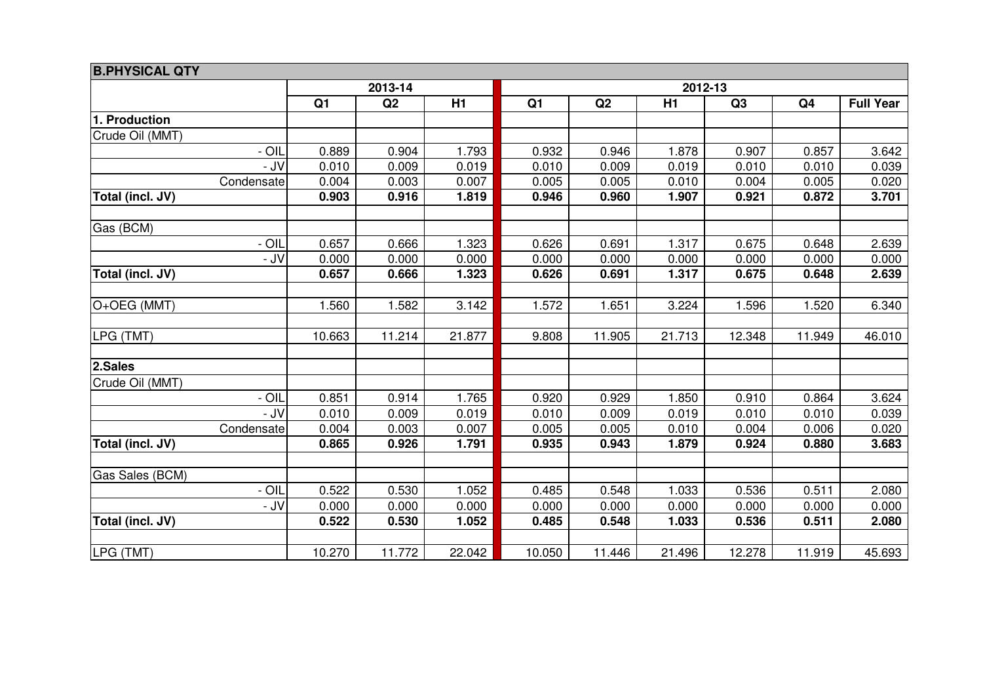| <b>B.PHYSICAL QTY</b> |                |         |        |                |        |        |        |                |                  |
|-----------------------|----------------|---------|--------|----------------|--------|--------|--------|----------------|------------------|
|                       |                | 2013-14 |        | 2012-13        |        |        |        |                |                  |
|                       | Q <sub>1</sub> | Q2      | H1     | Q <sub>1</sub> | Q2     | H1     | Q3     | Q <sub>4</sub> | <b>Full Year</b> |
| 1. Production         |                |         |        |                |        |        |        |                |                  |
| Crude Oil (MMT)       |                |         |        |                |        |        |        |                |                  |
| - OIL                 | 0.889          | 0.904   | 1.793  | 0.932          | 0.946  | 1.878  | 0.907  | 0.857          | 3.642            |
| - JV                  | 0.010          | 0.009   | 0.019  | 0.010          | 0.009  | 0.019  | 0.010  | 0.010          | 0.039            |
| Condensate            | 0.004          | 0.003   | 0.007  | 0.005          | 0.005  | 0.010  | 0.004  | 0.005          | 0.020            |
| Total (incl. JV)      | 0.903          | 0.916   | 1.819  | 0.946          | 0.960  | 1.907  | 0.921  | 0.872          | 3.701            |
| Gas (BCM)             |                |         |        |                |        |        |        |                |                  |
| - OIL                 | 0.657          | 0.666   | 1.323  | 0.626          | 0.691  | 1.317  | 0.675  | 0.648          | 2.639            |
| - JV                  | 0.000          | 0.000   | 0.000  | 0.000          | 0.000  | 0.000  | 0.000  | 0.000          | 0.000            |
| Total (incl. JV)      | 0.657          | 0.666   | 1.323  | 0.626          | 0.691  | 1.317  | 0.675  | 0.648          | 2.639            |
|                       |                |         |        |                |        |        |        |                |                  |
| O+OEG (MMT)           | 1.560          | 1.582   | 3.142  | 1.572          | 1.651  | 3.224  | 1.596  | 1.520          | 6.340            |
|                       |                |         |        |                |        |        |        |                |                  |
| LPG (TMT)             | 10.663         | 11.214  | 21.877 | 9.808          | 11.905 | 21.713 | 12.348 | 11.949         | 46.010           |
| 2.Sales               |                |         |        |                |        |        |        |                |                  |
| Crude Oil (MMT)       |                |         |        |                |        |        |        |                |                  |
| - OIL                 | 0.851          | 0.914   | 1.765  | 0.920          | 0.929  | 1.850  | 0.910  | 0.864          | 3.624            |
| - JV                  | 0.010          | 0.009   | 0.019  | 0.010          | 0.009  | 0.019  | 0.010  | 0.010          | 0.039            |
| Condensate            | 0.004          | 0.003   | 0.007  | 0.005          | 0.005  | 0.010  | 0.004  | 0.006          | 0.020            |
| Total (incl. JV)      | 0.865          | 0.926   | 1.791  | 0.935          | 0.943  | 1.879  | 0.924  | 0.880          | 3.683            |
| Gas Sales (BCM)       |                |         |        |                |        |        |        |                |                  |
| $- OIL$               | 0.522          | 0.530   | 1.052  | 0.485          | 0.548  | 1.033  | 0.536  | 0.511          | 2.080            |
| - JV                  | 0.000          | 0.000   | 0.000  | 0.000          | 0.000  | 0.000  | 0.000  | 0.000          | 0.000            |
| Total (incl. JV)      | 0.522          | 0.530   | 1.052  | 0.485          | 0.548  | 1.033  | 0.536  | 0.511          | 2.080            |
|                       |                |         |        |                |        |        |        |                |                  |
| LPG (TMT)             | 10.270         | 11.772  | 22.042 | 10.050         | 11.446 | 21.496 | 12.278 | 11.919         | 45.693           |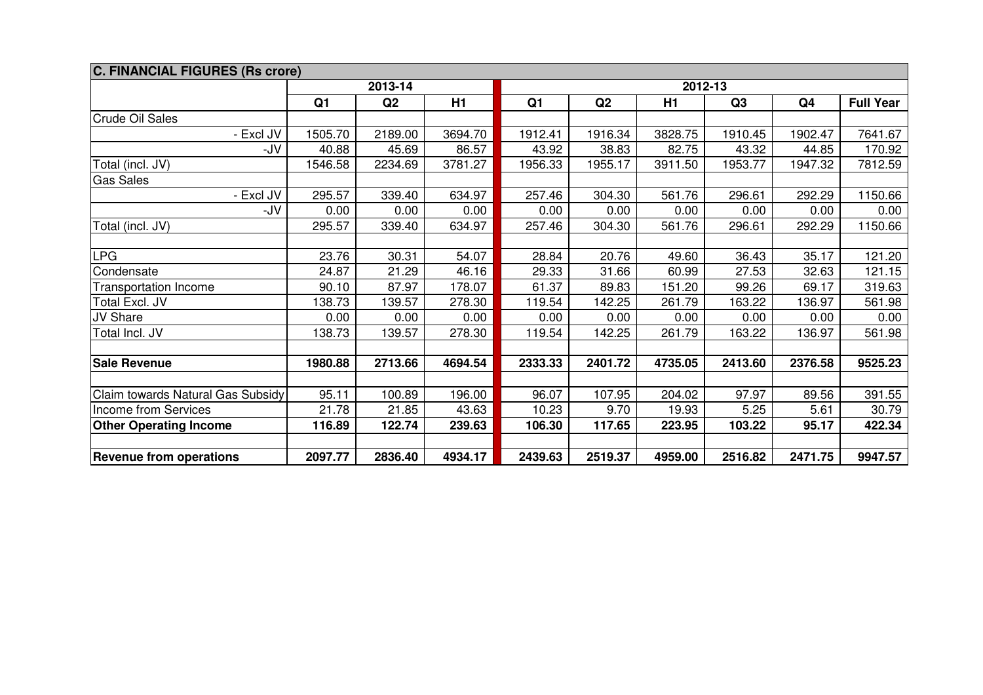| <b>C. FINANCIAL FIGURES (Rs crore)</b> |                |         |         |                |         |         |         |                |                  |
|----------------------------------------|----------------|---------|---------|----------------|---------|---------|---------|----------------|------------------|
|                                        |                | 2013-14 |         | 2012-13        |         |         |         |                |                  |
|                                        | Q <sub>1</sub> | Q2      | H1      | Q <sub>1</sub> | Q2      | H1      | Q3      | Q <sub>4</sub> | <b>Full Year</b> |
| <b>Crude Oil Sales</b>                 |                |         |         |                |         |         |         |                |                  |
| - Excl JV                              | 1505.70        | 2189.00 | 3694.70 | 1912.41        | 1916.34 | 3828.75 | 1910.45 | 1902.47        | 7641.67          |
| -JV                                    | 40.88          | 45.69   | 86.57   | 43.92          | 38.83   | 82.75   | 43.32   | 44.85          | 170.92           |
| Total (incl. JV)                       | 1546.58        | 2234.69 | 3781.27 | 1956.33        | 1955.17 | 3911.50 | 1953.77 | 1947.32        | 7812.59          |
| <b>Gas Sales</b>                       |                |         |         |                |         |         |         |                |                  |
| - Excl JV                              | 295.57         | 339.40  | 634.97  | 257.46         | 304.30  | 561.76  | 296.61  | 292.29         | 1150.66          |
| -JV                                    | 0.00           | 0.00    | 0.00    | 0.00           | 0.00    | 0.00    | 0.00    | 0.00           | 0.00             |
| Total (incl. JV)                       | 295.57         | 339.40  | 634.97  | 257.46         | 304.30  | 561.76  | 296.61  | 292.29         | 1150.66          |
|                                        |                |         |         |                |         |         |         |                |                  |
| <b>LPG</b>                             | 23.76          | 30.31   | 54.07   | 28.84          | 20.76   | 49.60   | 36.43   | 35.17          | 121.20           |
| Condensate                             | 24.87          | 21.29   | 46.16   | 29.33          | 31.66   | 60.99   | 27.53   | 32.63          | 121.15           |
| <b>Transportation Income</b>           | 90.10          | 87.97   | 178.07  | 61.37          | 89.83   | 151.20  | 99.26   | 69.17          | 319.63           |
| Total Excl. JV                         | 138.73         | 139.57  | 278.30  | 119.54         | 142.25  | 261.79  | 163.22  | 136.97         | 561.98           |
| JV Share                               | 0.00           | 0.00    | 0.00    | 0.00           | 0.00    | 0.00    | 0.00    | 0.00           | 0.00             |
| Total Incl. JV                         | 138.73         | 139.57  | 278.30  | 119.54         | 142.25  | 261.79  | 163.22  | 136.97         | 561.98           |
|                                        |                |         |         |                |         |         |         |                |                  |
| <b>Sale Revenue</b>                    | 1980.88        | 2713.66 | 4694.54 | 2333.33        | 2401.72 | 4735.05 | 2413.60 | 2376.58        | 9525.23          |
|                                        |                |         |         |                |         |         |         |                |                  |
| Claim towards Natural Gas Subsidy      | 95.11          | 100.89  | 196.00  | 96.07          | 107.95  | 204.02  | 97.97   | 89.56          | 391.55           |
| Income from Services                   | 21.78          | 21.85   | 43.63   | 10.23          | 9.70    | 19.93   | 5.25    | 5.61           | 30.79            |
| <b>Other Operating Income</b>          | 116.89         | 122.74  | 239.63  | 106.30         | 117.65  | 223.95  | 103.22  | 95.17          | 422.34           |
|                                        |                |         |         |                |         |         |         |                |                  |
| <b>Revenue from operations</b>         | 2097.77        | 2836.40 | 4934.17 | 2439.63        | 2519.37 | 4959.00 | 2516.82 | 2471.75        | 9947.57          |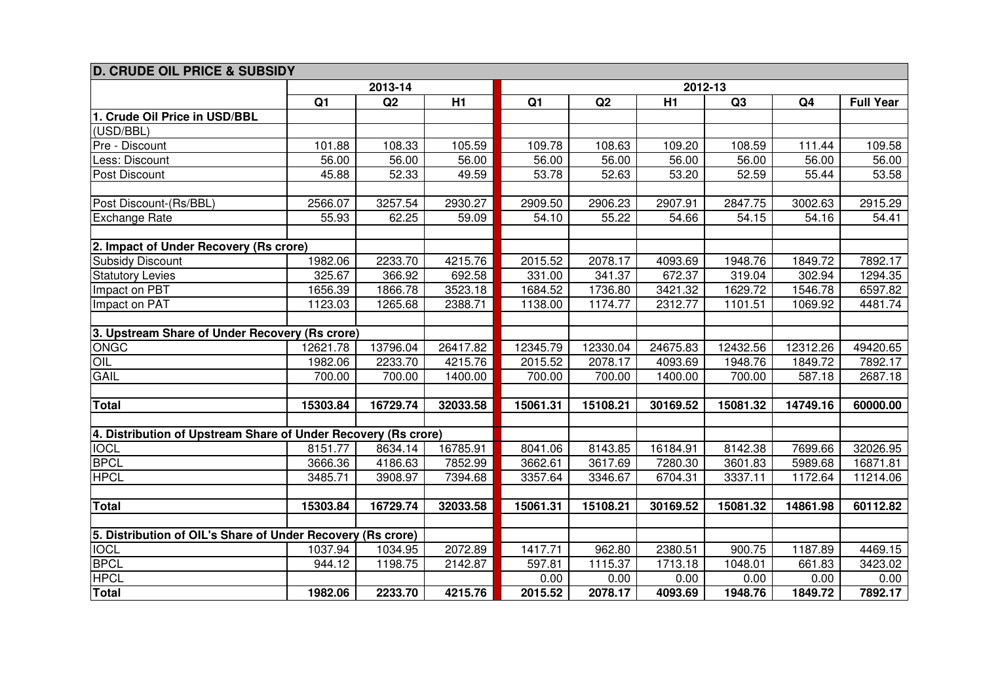| <b>D. CRUDE OIL PRICE &amp; SUBSIDY</b>                        |                |          |          |          |          |          |          |                |                  |  |  |  |
|----------------------------------------------------------------|----------------|----------|----------|----------|----------|----------|----------|----------------|------------------|--|--|--|
|                                                                | 2013-14        |          |          |          |          | 2012-13  |          |                |                  |  |  |  |
|                                                                | Q <sub>1</sub> | Q2       | H1       | Q1       | Q2       | H1       | Q3       | Q <sub>4</sub> | <b>Full Year</b> |  |  |  |
| 1. Crude Oil Price in USD/BBL                                  |                |          |          |          |          |          |          |                |                  |  |  |  |
| (USD/BBL)                                                      |                |          |          |          |          |          |          |                |                  |  |  |  |
| Pre - Discount                                                 | 101.88         | 108.33   | 105.59   | 109.78   | 108.63   | 109.20   | 108.59   | 111.44         | 109.58           |  |  |  |
| Less: Discount                                                 | 56.00          | 56.00    | 56.00    | 56.00    | 56.00    | 56.00    | 56.00    | 56.00          | 56.00            |  |  |  |
| Post Discount                                                  | 45.88          | 52.33    | 49.59    | 53.78    | 52.63    | 53.20    | 52.59    | 55.44          | 53.58            |  |  |  |
|                                                                |                |          |          |          |          |          |          |                |                  |  |  |  |
| Post Discount-(Rs/BBL)                                         | 2566.07        | 3257.54  | 2930.27  | 2909.50  | 2906.23  | 2907.91  | 2847.75  | 3002.63        | 2915.29          |  |  |  |
| Exchange Rate                                                  | 55.93          | 62.25    | 59.09    | 54.10    | 55.22    | 54.66    | 54.15    | 54.16          | 54.41            |  |  |  |
|                                                                |                |          |          |          |          |          |          |                |                  |  |  |  |
| 2. Impact of Under Recovery (Rs crore)                         |                |          |          |          |          |          |          |                |                  |  |  |  |
| <b>Subsidy Discount</b>                                        | 1982.06        | 2233.70  | 4215.76  | 2015.52  | 2078.17  | 4093.69  | 1948.76  | 1849.72        | 7892.17          |  |  |  |
| <b>Statutory Levies</b>                                        | 325.67         | 366.92   | 692.58   | 331.00   | 341.37   | 672.37   | 319.04   | 302.94         | 1294.35          |  |  |  |
| Impact on PBT                                                  | 1656.39        | 1866.78  | 3523.18  | 1684.52  | 1736.80  | 3421.32  | 1629.72  | 1546.78        | 6597.82          |  |  |  |
| Impact on PAT                                                  | 1123.03        | 1265.68  | 2388.71  | 1138.00  | 1174.77  | 2312.77  | 1101.51  | 1069.92        | 4481.74          |  |  |  |
|                                                                |                |          |          |          |          |          |          |                |                  |  |  |  |
| 3. Upstream Share of Under Recovery (Rs crore)                 |                |          |          |          |          |          |          |                |                  |  |  |  |
| ONGC                                                           | 12621.78       | 13796.04 | 26417.82 | 12345.79 | 12330.04 | 24675.83 | 12432.56 | 12312.26       | 49420.65         |  |  |  |
| OIL                                                            | 1982.06        | 2233.70  | 4215.76  | 2015.52  | 2078.17  | 4093.69  | 1948.76  | 1849.72        | 7892.17          |  |  |  |
| GAIL                                                           | 700.00         | 700.00   | 1400.00  | 700.00   | 700.00   | 1400.00  | 700.00   | 587.18         | 2687.18          |  |  |  |
|                                                                |                |          |          |          |          |          |          |                |                  |  |  |  |
| Total                                                          | 15303.84       | 16729.74 | 32033.58 | 15061.31 | 15108.21 | 30169.52 | 15081.32 | 14749.16       | 60000.00         |  |  |  |
|                                                                |                |          |          |          |          |          |          |                |                  |  |  |  |
| 4. Distribution of Upstream Share of Under Recovery (Rs crore) |                |          |          |          |          |          |          |                |                  |  |  |  |
| <b>IOCL</b>                                                    | 8151.77        | 8634.14  | 16785.91 | 8041.06  | 8143.85  | 16184.91 | 8142.38  | 7699.66        | 32026.95         |  |  |  |
| <b>BPCL</b>                                                    | 3666.36        | 4186.63  | 7852.99  | 3662.61  | 3617.69  | 7280.30  | 3601.83  | 5989.68        | 16871.81         |  |  |  |
| <b>HPCL</b>                                                    | 3485.71        | 3908.97  | 7394.68  | 3357.64  | 3346.67  | 6704.31  | 3337.11  | 1172.64        | 11214.06         |  |  |  |
|                                                                |                |          |          |          |          |          |          |                |                  |  |  |  |
| Total                                                          | 15303.84       | 16729.74 | 32033.58 | 15061.31 | 15108.21 | 30169.52 | 15081.32 | 14861.98       | 60112.82         |  |  |  |
|                                                                |                |          |          |          |          |          |          |                |                  |  |  |  |
| 5. Distribution of OIL's Share of Under Recovery (Rs crore)    |                |          |          |          |          |          |          |                |                  |  |  |  |
| <b>IOCL</b>                                                    | 1037.94        | 1034.95  | 2072.89  | 1417.71  | 962.80   | 2380.51  | 900.75   | 1187.89        | 4469.15          |  |  |  |
| <b>BPCL</b>                                                    | 944.12         | 1198.75  | 2142.87  | 597.81   | 1115.37  | 1713.18  | 1048.01  | 661.83         | 3423.02          |  |  |  |
| <b>HPCL</b>                                                    |                |          |          | 0.00     | 0.00     | 0.00     | 0.00     | 0.00           | 0.00             |  |  |  |
| <b>Total</b>                                                   | 1982.06        | 2233.70  | 4215.76  | 2015.52  | 2078.17  | 4093.69  | 1948.76  | 1849.72        | 7892.17          |  |  |  |